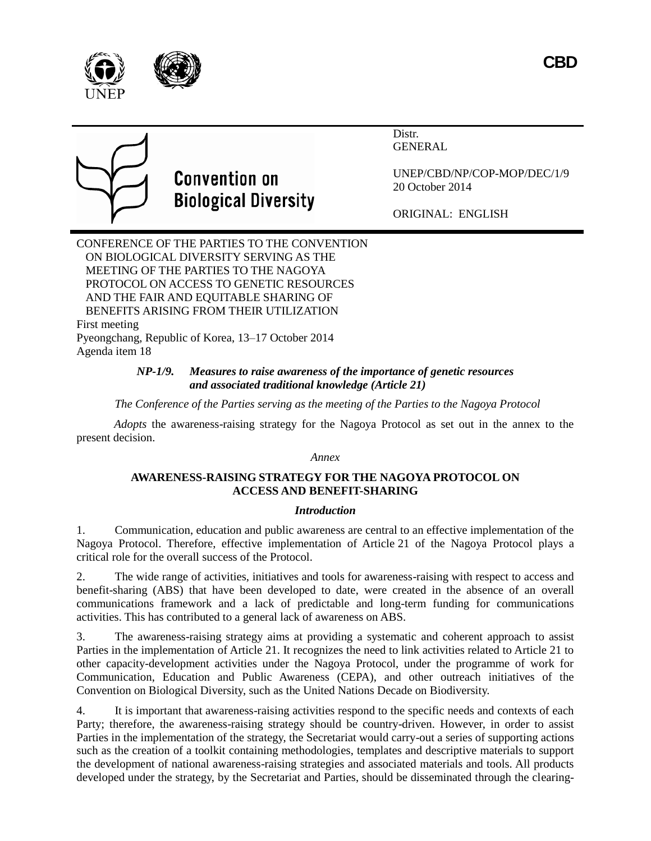



Distr. GENERAL



# **Convention on Biological Diversity**

UNEP/CBD/NP/COP-MOP/DEC/1/9 20 October 2014

ORIGINAL: ENGLISH

CONFERENCE OF THE PARTIES TO THE CONVENTION ON BIOLOGICAL DIVERSITY SERVING AS THE MEETING OF THE PARTIES TO THE NAGOYA PROTOCOL ON ACCESS TO GENETIC RESOURCES AND THE FAIR AND EQUITABLE SHARING OF BENEFITS ARISING FROM THEIR UTILIZATION First meeting Pyeongchang, Republic of Korea, 13–17 October 2014 Agenda item 18

# *NP-1/9. Measures to raise awareness of the importance of genetic resources and associated traditional knowledge (Article 21)*

*The Conference of the Parties serving as the meeting of the Parties to the Nagoya Protocol*

*Adopts* the awareness-raising strategy for the Nagoya Protocol as set out in the annex to the present decision.

*Annex*

# **AWARENESS-RAISING STRATEGY FOR THE NAGOYA PROTOCOL ON ACCESS AND BENEFIT-SHARING**

# *Introduction*

1. Communication, education and public awareness are central to an effective implementation of the Nagoya Protocol. Therefore, effective implementation of Article 21 of the Nagoya Protocol plays a critical role for the overall success of the Protocol.

2. The wide range of activities, initiatives and tools for awareness-raising with respect to access and benefit-sharing (ABS) that have been developed to date, were created in the absence of an overall communications framework and a lack of predictable and long-term funding for communications activities. This has contributed to a general lack of awareness on ABS.

3. The awareness-raising strategy aims at providing a systematic and coherent approach to assist Parties in the implementation of Article 21. It recognizes the need to link activities related to Article 21 to other capacity-development activities under the Nagoya Protocol, under the programme of work for Communication, Education and Public Awareness (CEPA), and other outreach initiatives of the Convention on Biological Diversity, such as the United Nations Decade on Biodiversity.

4. It is important that awareness-raising activities respond to the specific needs and contexts of each Party; therefore, the awareness-raising strategy should be country-driven. However, in order to assist Parties in the implementation of the strategy, the Secretariat would carry-out a series of supporting actions such as the creation of a toolkit containing methodologies, templates and descriptive materials to support the development of national awareness-raising strategies and associated materials and tools. All products developed under the strategy, by the Secretariat and Parties, should be disseminated through the clearing-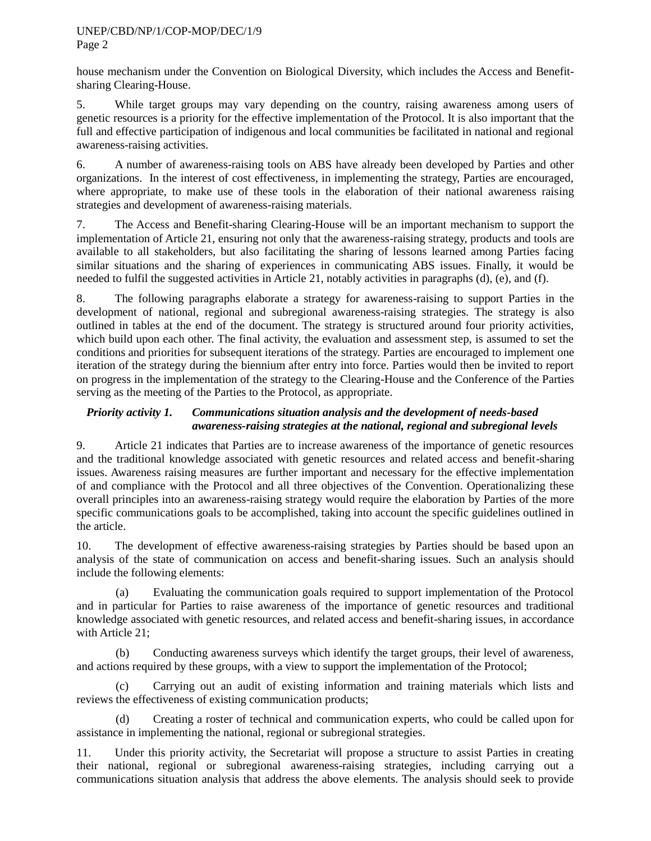#### UNEP/CBD/NP/1/COP-MOP/DEC/1/9 Page 2

house mechanism under the Convention on Biological Diversity, which includes the Access and Benefitsharing Clearing-House.

5. While target groups may vary depending on the country, raising awareness among users of genetic resources is a priority for the effective implementation of the Protocol. It is also important that the full and effective participation of indigenous and local communities be facilitated in national and regional awareness-raising activities.

6. A number of awareness-raising tools on ABS have already been developed by Parties and other organizations. In the interest of cost effectiveness, in implementing the strategy, Parties are encouraged, where appropriate, to make use of these tools in the elaboration of their national awareness raising strategies and development of awareness-raising materials.

7. The Access and Benefit-sharing Clearing-House will be an important mechanism to support the implementation of Article 21, ensuring not only that the awareness-raising strategy, products and tools are available to all stakeholders, but also facilitating the sharing of lessons learned among Parties facing similar situations and the sharing of experiences in communicating ABS issues. Finally, it would be needed to fulfil the suggested activities in Article 21, notably activities in paragraphs (d), (e), and (f).

8. The following paragraphs elaborate a strategy for awareness-raising to support Parties in the development of national, regional and subregional awareness-raising strategies. The strategy is also outlined in tables at the end of the document. The strategy is structured around four priority activities, which build upon each other. The final activity, the evaluation and assessment step, is assumed to set the conditions and priorities for subsequent iterations of the strategy. Parties are encouraged to implement one iteration of the strategy during the biennium after entry into force. Parties would then be invited to report on progress in the implementation of the strategy to the Clearing-House and the Conference of the Parties serving as the meeting of the Parties to the Protocol, as appropriate.

# *Priority activity 1. Communications situation analysis and the development of needs-based awareness-raising strategies at the national, regional and subregional levels*

9. Article 21 indicates that Parties are to increase awareness of the importance of genetic resources and the traditional knowledge associated with genetic resources and related access and benefit-sharing issues. Awareness raising measures are further important and necessary for the effective implementation of and compliance with the Protocol and all three objectives of the Convention. Operationalizing these overall principles into an awareness-raising strategy would require the elaboration by Parties of the more specific communications goals to be accomplished, taking into account the specific guidelines outlined in the article.

10. The development of effective awareness-raising strategies by Parties should be based upon an analysis of the state of communication on access and benefit-sharing issues. Such an analysis should include the following elements:

(a) Evaluating the communication goals required to support implementation of the Protocol and in particular for Parties to raise awareness of the importance of genetic resources and traditional knowledge associated with genetic resources, and related access and benefit-sharing issues, in accordance with Article 21;

(b) Conducting awareness surveys which identify the target groups, their level of awareness, and actions required by these groups, with a view to support the implementation of the Protocol;

(c) Carrying out an audit of existing information and training materials which lists and reviews the effectiveness of existing communication products;

(d) Creating a roster of technical and communication experts, who could be called upon for assistance in implementing the national, regional or subregional strategies.

11. Under this priority activity, the Secretariat will propose a structure to assist Parties in creating their national, regional or subregional awareness-raising strategies, including carrying out a communications situation analysis that address the above elements. The analysis should seek to provide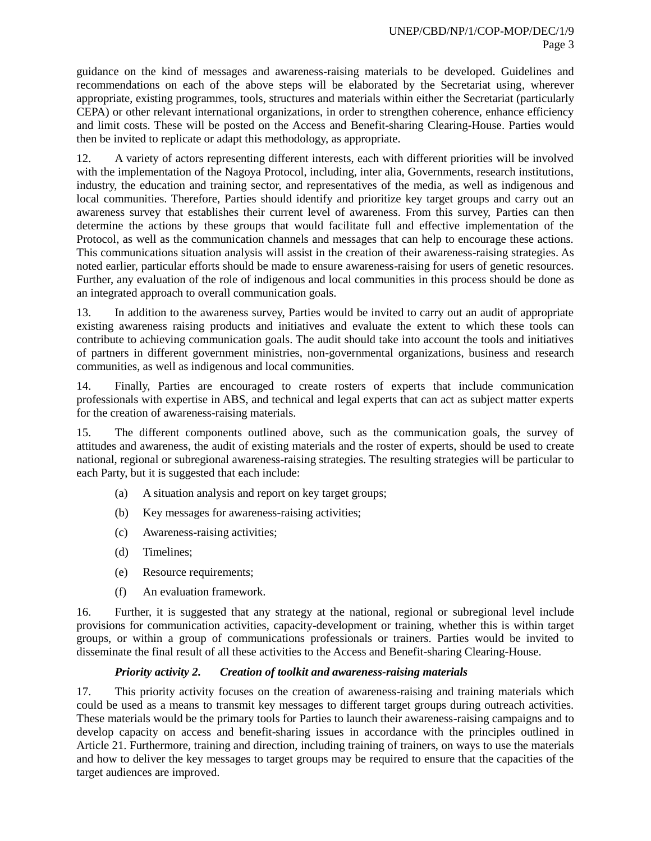guidance on the kind of messages and awareness-raising materials to be developed. Guidelines and recommendations on each of the above steps will be elaborated by the Secretariat using, wherever appropriate, existing programmes, tools, structures and materials within either the Secretariat (particularly CEPA) or other relevant international organizations, in order to strengthen coherence, enhance efficiency and limit costs. These will be posted on the Access and Benefit-sharing Clearing-House. Parties would then be invited to replicate or adapt this methodology, as appropriate.

12. A variety of actors representing different interests, each with different priorities will be involved with the implementation of the Nagoya Protocol, including, inter alia, Governments, research institutions, industry, the education and training sector, and representatives of the media, as well as indigenous and local communities. Therefore, Parties should identify and prioritize key target groups and carry out an awareness survey that establishes their current level of awareness. From this survey, Parties can then determine the actions by these groups that would facilitate full and effective implementation of the Protocol, as well as the communication channels and messages that can help to encourage these actions. This communications situation analysis will assist in the creation of their awareness-raising strategies. As noted earlier, particular efforts should be made to ensure awareness-raising for users of genetic resources. Further, any evaluation of the role of indigenous and local communities in this process should be done as an integrated approach to overall communication goals.

13. In addition to the awareness survey, Parties would be invited to carry out an audit of appropriate existing awareness raising products and initiatives and evaluate the extent to which these tools can contribute to achieving communication goals. The audit should take into account the tools and initiatives of partners in different government ministries, non-governmental organizations, business and research communities, as well as indigenous and local communities.

14. Finally, Parties are encouraged to create rosters of experts that include communication professionals with expertise in ABS, and technical and legal experts that can act as subject matter experts for the creation of awareness-raising materials.

15. The different components outlined above, such as the communication goals, the survey of attitudes and awareness, the audit of existing materials and the roster of experts, should be used to create national, regional or subregional awareness-raising strategies. The resulting strategies will be particular to each Party, but it is suggested that each include:

- (a) A situation analysis and report on key target groups;
- (b) Key messages for awareness-raising activities;
- (c) Awareness-raising activities;
- (d) Timelines;
- (e) Resource requirements;
- (f) An evaluation framework.

16. Further, it is suggested that any strategy at the national, regional or subregional level include provisions for communication activities, capacity-development or training, whether this is within target groups, or within a group of communications professionals or trainers. Parties would be invited to disseminate the final result of all these activities to the Access and Benefit-sharing Clearing-House.

#### *Priority activity 2. Creation of toolkit and awareness-raising materials*

17. This priority activity focuses on the creation of awareness-raising and training materials which could be used as a means to transmit key messages to different target groups during outreach activities. These materials would be the primary tools for Parties to launch their awareness-raising campaigns and to develop capacity on access and benefit-sharing issues in accordance with the principles outlined in Article 21. Furthermore, training and direction, including training of trainers, on ways to use the materials and how to deliver the key messages to target groups may be required to ensure that the capacities of the target audiences are improved.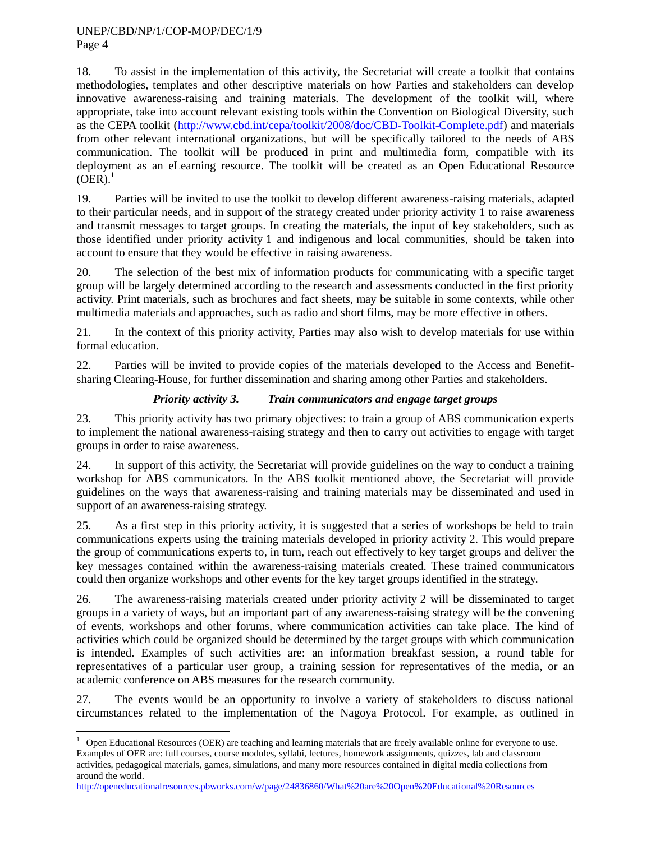# UNEP/CBD/NP/1/COP-MOP/DEC/1/9

Page 4

l

18. To assist in the implementation of this activity, the Secretariat will create a toolkit that contains methodologies, templates and other descriptive materials on how Parties and stakeholders can develop innovative awareness-raising and training materials. The development of the toolkit will, where appropriate, take into account relevant existing tools within the Convention on Biological Diversity, such as the CEPA toolkit [\(http://www.cbd.int/cepa/toolkit/2008/doc/CBD-Toolkit-Complete.pdf\)](http://www.cbd.int/cepa/toolkit/2008/doc/CBD-Toolkit-Complete.pdf) and materials from other relevant international organizations, but will be specifically tailored to the needs of ABS communication. The toolkit will be produced in print and multimedia form, compatible with its deployment as an eLearning resource. The toolkit will be created as an Open Educational Resource  $(OER).<sup>1</sup>$ 

19. Parties will be invited to use the toolkit to develop different awareness-raising materials, adapted to their particular needs, and in support of the strategy created under priority activity 1 to raise awareness and transmit messages to target groups. In creating the materials, the input of key stakeholders, such as those identified under priority activity 1 and indigenous and local communities, should be taken into account to ensure that they would be effective in raising awareness.

20. The selection of the best mix of information products for communicating with a specific target group will be largely determined according to the research and assessments conducted in the first priority activity. Print materials, such as brochures and fact sheets, may be suitable in some contexts, while other multimedia materials and approaches, such as radio and short films, may be more effective in others.

21. In the context of this priority activity, Parties may also wish to develop materials for use within formal education.

22. Parties will be invited to provide copies of the materials developed to the Access and Benefitsharing Clearing-House, for further dissemination and sharing among other Parties and stakeholders.

# *Priority activity 3. Train communicators and engage target groups*

23. This priority activity has two primary objectives: to train a group of ABS communication experts to implement the national awareness-raising strategy and then to carry out activities to engage with target groups in order to raise awareness.

24. In support of this activity, the Secretariat will provide guidelines on the way to conduct a training workshop for ABS communicators. In the ABS toolkit mentioned above, the Secretariat will provide guidelines on the ways that awareness-raising and training materials may be disseminated and used in support of an awareness-raising strategy.

25. As a first step in this priority activity, it is suggested that a series of workshops be held to train communications experts using the training materials developed in priority activity 2. This would prepare the group of communications experts to, in turn, reach out effectively to key target groups and deliver the key messages contained within the awareness-raising materials created. These trained communicators could then organize workshops and other events for the key target groups identified in the strategy.

26. The awareness-raising materials created under priority activity 2 will be disseminated to target groups in a variety of ways, but an important part of any awareness-raising strategy will be the convening of events, workshops and other forums, where communication activities can take place. The kind of activities which could be organized should be determined by the target groups with which communication is intended. Examples of such activities are: an information breakfast session, a round table for representatives of a particular user group, a training session for representatives of the media, or an academic conference on ABS measures for the research community.

27. The events would be an opportunity to involve a variety of stakeholders to discuss national circumstances related to the implementation of the Nagoya Protocol. For example, as outlined in

<http://openeducationalresources.pbworks.com/w/page/24836860/What%20are%20Open%20Educational%20Resources>

 $1$  Open Educational Resources (OER) are teaching and learning materials that are freely available online for everyone to use. Examples of OER are: full courses, course modules, syllabi, lectures, homework assignments, quizzes, lab and classroom activities, pedagogical materials, games, simulations, and many more resources contained in digital media collections from around the world.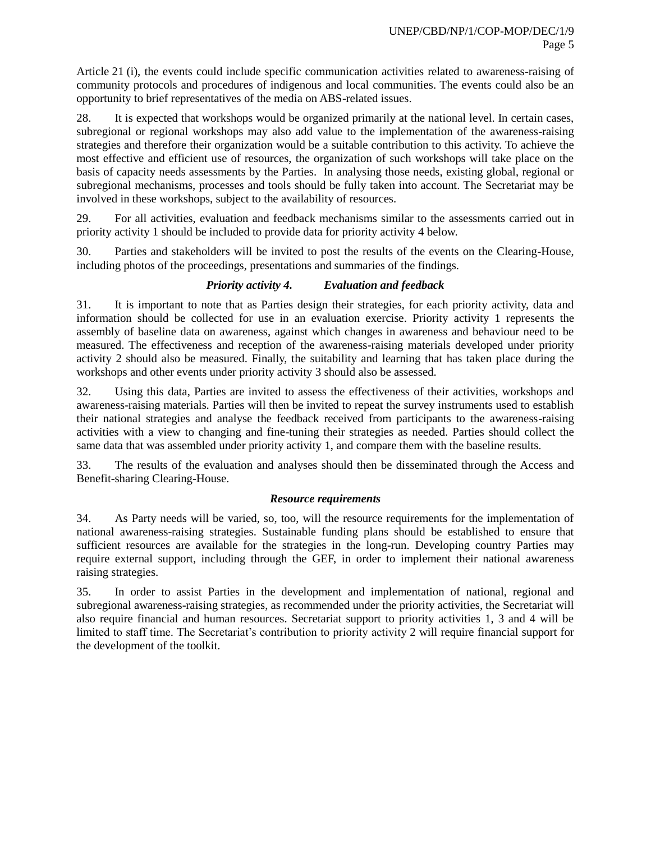Article 21 (i), the events could include specific communication activities related to awareness-raising of community protocols and procedures of indigenous and local communities. The events could also be an opportunity to brief representatives of the media on ABS-related issues.

28. It is expected that workshops would be organized primarily at the national level. In certain cases, subregional or regional workshops may also add value to the implementation of the awareness-raising strategies and therefore their organization would be a suitable contribution to this activity. To achieve the most effective and efficient use of resources, the organization of such workshops will take place on the basis of capacity needs assessments by the Parties. In analysing those needs, existing global, regional or subregional mechanisms, processes and tools should be fully taken into account. The Secretariat may be involved in these workshops, subject to the availability of resources.

29. For all activities, evaluation and feedback mechanisms similar to the assessments carried out in priority activity 1 should be included to provide data for priority activity 4 below.

30. Parties and stakeholders will be invited to post the results of the events on the Clearing-House, including photos of the proceedings, presentations and summaries of the findings.

# *Priority activity 4. Evaluation and feedback*

31. It is important to note that as Parties design their strategies, for each priority activity, data and information should be collected for use in an evaluation exercise. Priority activity 1 represents the assembly of baseline data on awareness, against which changes in awareness and behaviour need to be measured. The effectiveness and reception of the awareness-raising materials developed under priority activity 2 should also be measured. Finally, the suitability and learning that has taken place during the workshops and other events under priority activity 3 should also be assessed.

32. Using this data, Parties are invited to assess the effectiveness of their activities, workshops and awareness-raising materials. Parties will then be invited to repeat the survey instruments used to establish their national strategies and analyse the feedback received from participants to the awareness-raising activities with a view to changing and fine-tuning their strategies as needed. Parties should collect the same data that was assembled under priority activity 1, and compare them with the baseline results.

33. The results of the evaluation and analyses should then be disseminated through the Access and Benefit-sharing Clearing-House.

#### *Resource requirements*

34. As Party needs will be varied, so, too, will the resource requirements for the implementation of national awareness-raising strategies. Sustainable funding plans should be established to ensure that sufficient resources are available for the strategies in the long-run. Developing country Parties may require external support, including through the GEF, in order to implement their national awareness raising strategies.

35. In order to assist Parties in the development and implementation of national, regional and subregional awareness-raising strategies, as recommended under the priority activities, the Secretariat will also require financial and human resources. Secretariat support to priority activities 1, 3 and 4 will be limited to staff time. The Secretariat's contribution to priority activity 2 will require financial support for the development of the toolkit.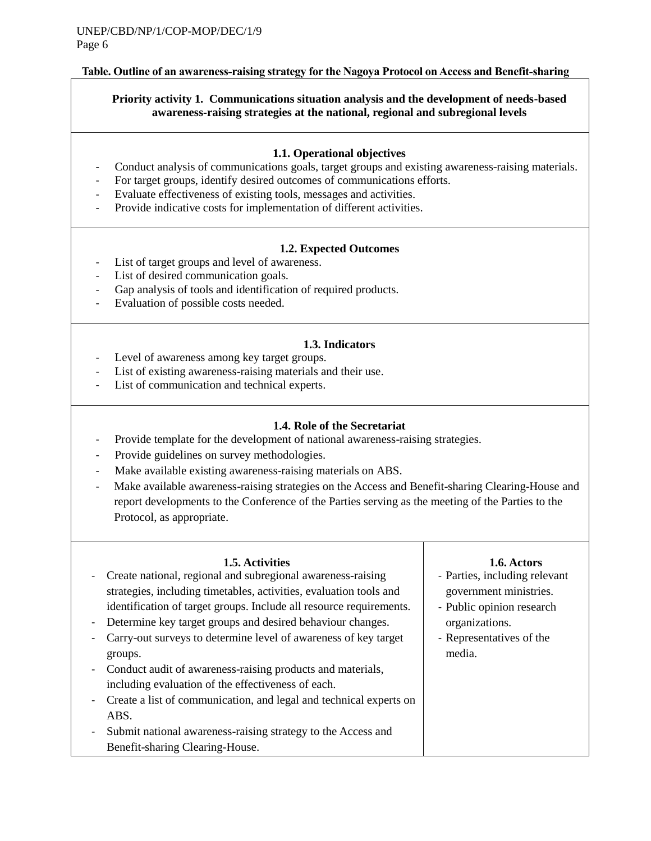#### **Table. Outline of an awareness-raising strategy for the Nagoya Protocol on Access and Benefit-sharing**

**Priority activity 1. Communications situation analysis and the development of needs-based awareness-raising strategies at the national, regional and subregional levels**

## **1.1. Operational objectives**

- Conduct analysis of communications goals, target groups and existing awareness-raising materials.
- For target groups, identify desired outcomes of communications efforts.
- Evaluate effectiveness of existing tools, messages and activities.
- Provide indicative costs for implementation of different activities.

#### **1.2. Expected Outcomes**

- List of target groups and level of awareness.
- List of desired communication goals.
- Gap analysis of tools and identification of required products.
- Evaluation of possible costs needed.

#### **1.3. Indicators**

- Level of awareness among key target groups.
- List of existing awareness-raising materials and their use.
- List of communication and technical experts.

#### **1.4. Role of the Secretariat**

- Provide template for the development of national awareness-raising strategies.
- Provide guidelines on survey methodologies.
- Make available existing awareness-raising materials on ABS.
- Make available awareness-raising strategies on the Access and Benefit-sharing Clearing-House and report developments to the Conference of the Parties serving as the meeting of the Parties to the Protocol, as appropriate.

#### **1.5. Activities**

- Create national, regional and subregional awareness-raising strategies, including timetables, activities, evaluation tools and identification of target groups. Include all resource requirements.
- Determine key target groups and desired behaviour changes.
- Carry-out surveys to determine level of awareness of key target groups.
- Conduct audit of awareness-raising products and materials, including evaluation of the effectiveness of each.
- Create a list of communication, and legal and technical experts on ABS.
- Submit national awareness-raising strategy to the Access and Benefit-sharing Clearing-House.

#### **1.6. Actors**

- Parties, including relevant government ministries.
- Public opinion research organizations.
- Representatives of the media.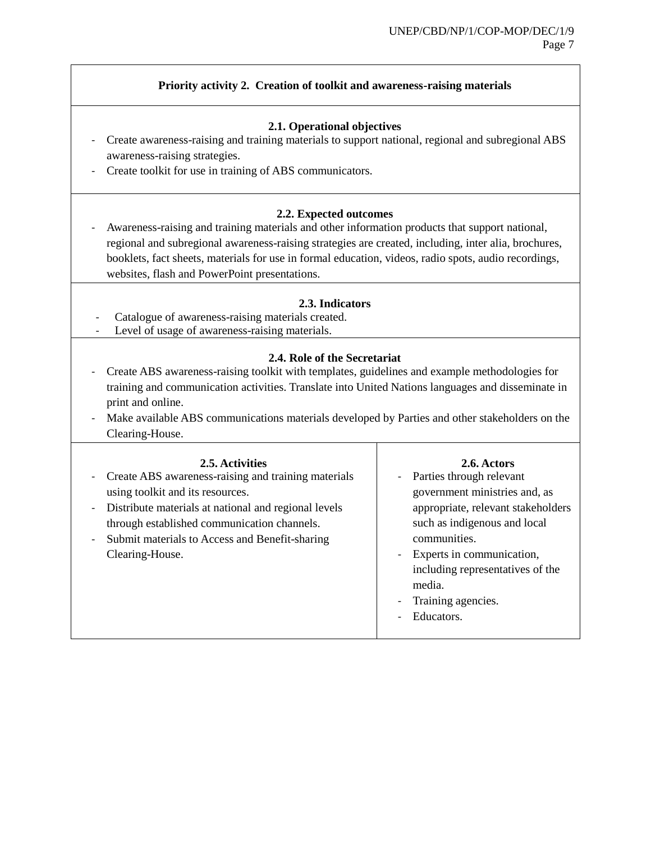# **Priority activity 2. Creation of toolkit and awareness-raising materials**

# **2.1. Operational objectives**

- Create awareness-raising and training materials to support national, regional and subregional ABS awareness-raising strategies.
- Create toolkit for use in training of ABS communicators.

# **2.2. Expected outcomes**

- Awareness-raising and training materials and other information products that support national, regional and subregional awareness-raising strategies are created, including, inter alia, brochures, booklets, fact sheets, materials for use in formal education, videos, radio spots, audio recordings, websites, flash and PowerPoint presentations.

## **2.3. Indicators**

- Catalogue of awareness-raising materials created.
- Level of usage of awareness-raising materials.

#### **2.4. Role of the Secretariat**

- Create ABS awareness-raising toolkit with templates, guidelines and example methodologies for training and communication activities. Translate into United Nations languages and disseminate in print and online.
- Make available ABS communications materials developed by Parties and other stakeholders on the Clearing-House.

| 2.5. Activities<br>Create ABS awareness-raising and training materials<br>$\overline{\phantom{0}}$<br>using toolkit and its resources.<br>Distribute materials at national and regional levels<br>$\overline{\phantom{a}}$<br>through established communication channels.<br>Submit materials to Access and Benefit-sharing<br>$\qquad \qquad -$<br>Clearing-House. | 2.6. Actors<br>Parties through relevant<br>government ministries and, as<br>appropriate, relevant stakeholders<br>such as indigenous and local<br>communities.<br>Experts in communication,<br>including representatives of the<br>media.<br>Training agencies.<br>Educators. |
|---------------------------------------------------------------------------------------------------------------------------------------------------------------------------------------------------------------------------------------------------------------------------------------------------------------------------------------------------------------------|-------------------------------------------------------------------------------------------------------------------------------------------------------------------------------------------------------------------------------------------------------------------------------|
|---------------------------------------------------------------------------------------------------------------------------------------------------------------------------------------------------------------------------------------------------------------------------------------------------------------------------------------------------------------------|-------------------------------------------------------------------------------------------------------------------------------------------------------------------------------------------------------------------------------------------------------------------------------|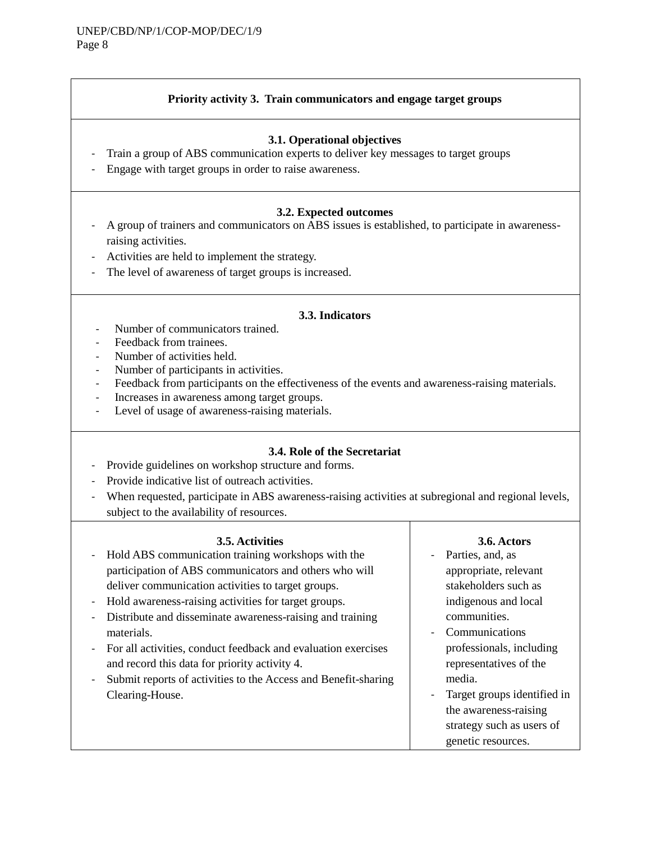# **Priority activity 3. Train communicators and engage target groups**

## **3.1. Operational objectives**

- Train a group of ABS communication experts to deliver key messages to target groups
- Engage with target groups in order to raise awareness.

# **3.2. Expected outcomes**

- A group of trainers and communicators on ABS issues is established, to participate in awarenessraising activities.
- Activities are held to implement the strategy.
- The level of awareness of target groups is increased.

# **3.3. Indicators**

- Number of communicators trained.
- Feedback from trainees.
- Number of activities held.
- Number of participants in activities.
- Feedback from participants on the effectiveness of the events and awareness-raising materials.
- Increases in awareness among target groups.
- Level of usage of awareness-raising materials.

# **3.4. Role of the Secretariat**

- Provide guidelines on workshop structure and forms.
- Provide indicative list of outreach activities.
- When requested, participate in ABS awareness-raising activities at subregional and regional levels, subject to the availability of resources.

#### **3.5. Activities**

- Hold ABS communication training workshops with the participation of ABS communicators and others who will deliver communication activities to target groups.
- Hold awareness-raising activities for target groups.
- Distribute and disseminate awareness-raising and training materials.
- For all activities, conduct feedback and evaluation exercises and record this data for priority activity 4.
- Submit reports of activities to the Access and Benefit-sharing Clearing-House.

#### **3.6. Actors**

- Parties, and, as appropriate, relevant stakeholders such as indigenous and local communities.
- **Communications** professionals, including representatives of the media.
- Target groups identified in the awareness-raising strategy such as users of genetic resources.